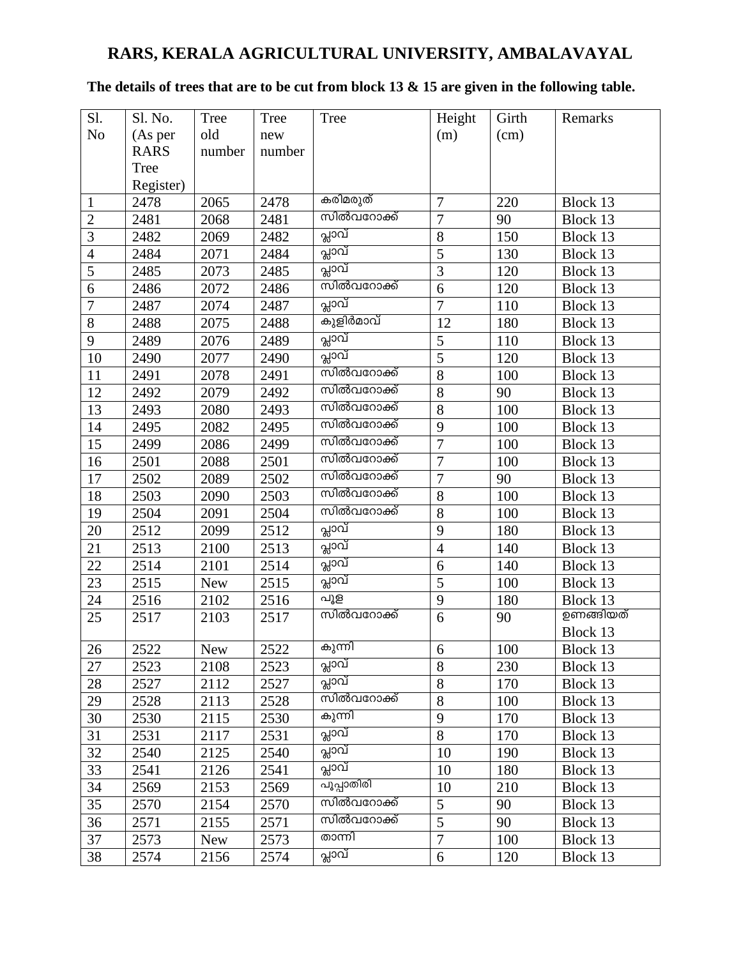## **RARS, KERALA AGRICULTURAL UNIVERSITY, AMBALAVAYAL**

## **The details of trees that are to be cut from block 13 & 15 are given in the following table.**

| S1.            | Sl. No.     | Tree                    | Tree   | Tree       | Height         | Girth | Remarks   |
|----------------|-------------|-------------------------|--------|------------|----------------|-------|-----------|
| N <sub>o</sub> | (As per     | old                     | new    |            | (m)            | (cm)  |           |
|                | <b>RARS</b> | number                  | number |            |                |       |           |
|                | Tree        |                         |        |            |                |       |           |
|                | Register)   |                         |        |            |                |       |           |
| 1              | 2478        | 2065                    | 2478   | കരിമരുത്   | $\overline{7}$ | 220   | Block 13  |
| $\overline{2}$ | 2481        | 2068                    | 2481   | സിൽവറോക്ക് | $\overline{7}$ | 90    | Block 13  |
| $\overline{3}$ | 2482        | 2069                    | 2482   | പ്ലാവ്     | $8\,$          | 150   | Block 13  |
| $\overline{4}$ | 2484        | 2071                    | 2484   | പ്ലാവ്     | 5              | 130   | Block 13  |
| $\overline{5}$ | 2485        | 2073                    | 2485   | പ്ലാവ്     | $\overline{3}$ | 120   | Block 13  |
| 6              | 2486        | 2072                    | 2486   | സിൽവറോക്ക് | 6              | 120   | Block 13  |
| $\overline{7}$ | 2487        | 2074                    | 2487   | പ്ലാവ്     | $\overline{7}$ | 110   | Block 13  |
| 8              | 2488        | 2075                    | 2488   | കുളിർമാവ്  | 12             | 180   | Block 13  |
| 9              | 2489        | 2076                    | 2489   | പ്ലാവ്     | 5              | 110   | Block 13  |
| 10             | 2490        | 2077                    | 2490   | പ്ലാവ്     | $\overline{5}$ | 120   | Block 13  |
| 11             | 2491        | 2078                    | 2491   | സിൽവറോക്ക് | 8              | 100   | Block 13  |
| 12             | 2492        | 2079                    | 2492   | സിൽവറോക്ക് | 8              | 90    | Block 13  |
| 13             | 2493        | 2080                    | 2493   | സിൽവറോക്ക് | 8              | 100   | Block 13  |
| 14             | 2495        | 2082                    | 2495   | സിൽവറോക്ക് | 9              | 100   | Block 13  |
| 15             | 2499        | 2086                    | 2499   | സിൽവറോക്ക് | $\overline{7}$ | 100   | Block 13  |
| 16             | 2501        | 2088                    | 2501   | സിൽവറോക്ക് | $\overline{7}$ | 100   | Block 13  |
| 17             | 2502        | 2089                    | 2502   | സിൽവറോക്ക് | $\overline{7}$ | 90    | Block 13  |
| 18             | 2503        | 2090                    | 2503   | സിൽവറോക്ക് | 8              | 100   | Block 13  |
| 19             | 2504        | 2091                    | 2504   | സിൽവറോക്ക് | 8              | 100   | Block 13  |
| 20             | 2512        | 2099                    | 2512   | പ്ലാവ്     | 9              | 180   | Block 13  |
| 21             | 2513        | 2100                    | 2513   | പ്ലാവ്     | $\overline{4}$ | 140   | Block 13  |
| 22             | 2514        | 2101                    | 2514   | പ്ലാവ്     | 6              | 140   | Block 13  |
| 23             | 2515        | <b>New</b>              | 2515   | പ്ലാവ്     | 5              | 100   | Block 13  |
| 24             | 2516        | 2102                    | 2516   | പൂള        | 9              | 180   | Block 13  |
| 25             | 2517        | 2103                    | 2517   | സിൽവറോക്ക് | 6              | 90    | ഉണങ്ങിയത് |
|                |             |                         |        |            |                |       | Block 13  |
| 26             | 2522        | $\overline{\text{New}}$ | 2522   | കുന്നി     | 6              | 100   | Block 13  |
| 27             | 2523        | 2108                    | 2523   | പ്ലാവ്     | 8              | 230   | Block 13  |
| 28             | 2527        | 2112                    | 2527   | പ്ലാവ്     | 8              | 170   | Block 13  |
| 29             | 2528        | 2113                    | 2528   | സിൽവറോക്ക് | 8              | 100   | Block 13  |
| 30             | 2530        | 2115                    | 2530   | കുന്നി     | 9              | 170   | Block 13  |
| 31             | 2531        | 2117                    | 2531   | പ്ലാവ്     | 8              | 170   | Block 13  |
| 32             | 2540        | 2125                    | 2540   | പ്ലാവ്     | 10             | 190   | Block 13  |
| 33             | 2541        | 2126                    | 2541   | പ്ലാവ്     | 10             | 180   | Block 13  |
| 34             | 2569        | 2153                    | 2569   | പൂപ്പാതിരി | 10             | 210   | Block 13  |
| 35             | 2570        | 2154                    | 2570   | സിൽവറോക്ക് | 5              | 90    | Block 13  |
| 36             | 2571        | 2155                    | 2571   | സിൽവറോക്ക് | 5              | 90    | Block 13  |
| 37             | 2573        | <b>New</b>              | 2573   | താന്നി     | $\overline{7}$ | 100   | Block 13  |
| 38             | 2574        | 2156                    | 2574   | പ്ലാവ്     | 6              | 120   | Block 13  |
|                |             |                         |        |            |                |       |           |